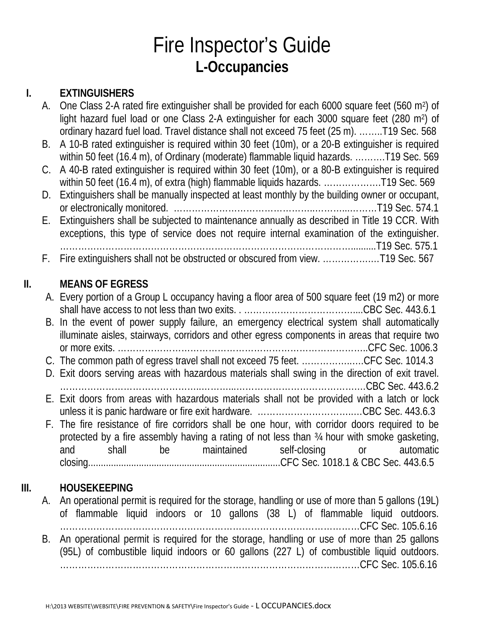# Fire Inspector's Guide **L-Occupancies**

#### **I. EXTINGUISHERS**

- A. One Class 2-A rated fire extinguisher shall be provided for each 6000 square feet (560 m<sup>2</sup>) of light hazard fuel load or one Class 2-A extinguisher for each 3000 square feet (280 m<sup>2</sup>) of ordinary hazard fuel load. Travel distance shall not exceed 75 feet (25 m). ……..T19 Sec. 568
- B. A 10-B rated extinguisher is required within 30 feet (10m), or a 20-B extinguisher is required within 50 feet (16.4 m), of Ordinary (moderate) flammable liquid hazards. ……….T19 Sec. 569
- C. A 40-B rated extinguisher is required within 30 feet (10m), or a 80-B extinguisher is required within 50 feet (16.4 m), of extra (high) flammable liquids hazards. .....................T19 Sec. 569
- D. Extinguishers shall be manually inspected at least monthly by the building owner or occupant, or electronically monitored. ………………………………………..………...………T19 Sec. 574.1
- E. Extinguishers shall be subjected to maintenance annually as described in Title 19 CCR. With exceptions, this type of service does not require internal examination of the extinguisher.
- ……………………………………………………………………………………..........T19 Sec. 575.1 F. Fire extinguishers shall not be obstructed or obscured from view. …………….…T19 Sec. 567

### **II. MEANS OF EGRESS**

| A. Every portion of a Group L occupancy having a floor area of 500 square feet (19 m2) or more    |
|---------------------------------------------------------------------------------------------------|
|                                                                                                   |
| B. In the event of power supply failure, an emergency electrical system shall automatically       |
| illuminate aisles, stairways, corridors and other egress components in areas that require two     |
|                                                                                                   |
| C. The common path of egress travel shall not exceed 75 feet. CFC Sec. 1014.3                     |
| D. Exit doors serving areas with hazardous materials shall swing in the direction of exit travel. |
|                                                                                                   |
| E. Exit doors from areas with hazardous materials shall not be provided with a latch or lock      |
| unless it is panic hardware or fire exit hardware. CBC Sec. 443.6.3                               |
| F. The fire resistance of fire corridors shall be one hour, with corridor doors required to be    |
| protected by a fire assembly having a rating of not less than 34 hour with smoke gasketing,       |
| and shall be maintained self-closing or automatic                                                 |
|                                                                                                   |
|                                                                                                   |

#### **III. HOUSEKEEPING**

A. An operational permit is required for the storage, handling or use of more than 5 gallons (19L) of flammable liquid indoors or 10 gallons (38 L) of flammable liquid outdoors. ………………………………………………………………………………………CFC Sec. 105.6.16 B. An operational permit is required for the storage, handling or use of more than 25 gallons (95L) of combustible liquid indoors or 60 gallons (227 L) of combustible liquid outdoors. ………………………………………………………………………………………CFC Sec. 105.6.16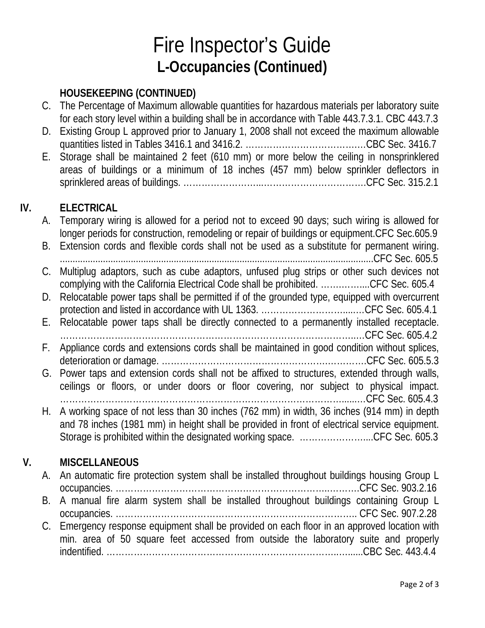# Fire Inspector's Guide **L-Occupancies (Continued)**

### **HOUSEKEEPING (CONTINUED)**

- C. The Percentage of Maximum allowable quantities for hazardous materials per laboratory suite for each story level within a building shall be in accordance with Table 443.7.3.1. CBC 443.7.3
- D. Existing Group L approved prior to January 1, 2008 shall not exceed the maximum allowable quantities listed in Tables 3416.1 and 3416.2. ……………………………….…CBC Sec. 3416.7
- E. Storage shall be maintained 2 feet (610 mm) or more below the ceiling in nonsprinklered areas of buildings or a minimum of 18 inches (457 mm) below sprinkler deflectors in sprinklered areas of buildings. ……………………...…………………………….CFC Sec. 315.2.1

#### **IV. ELECTRICAL**

|    |    | A. Temporary wiring is allowed for a period not to exceed 90 days; such wiring is allowed for<br>longer periods for construction, remodeling or repair of buildings or equipment. CFC Sec.605.9                                                                         |
|----|----|-------------------------------------------------------------------------------------------------------------------------------------------------------------------------------------------------------------------------------------------------------------------------|
|    | В. | Extension cords and flexible cords shall not be used as a substitute for permanent wiring.                                                                                                                                                                              |
|    | C. | Multiplug adaptors, such as cube adaptors, unfused plug strips or other such devices not<br>complying with the California Electrical Code shall be prohibited. CFC Sec. 605.4                                                                                           |
|    | D. | Relocatable power taps shall be permitted if of the grounded type, equipped with overcurrent                                                                                                                                                                            |
|    | Е. | Relocatable power taps shall be directly connected to a permanently installed receptacle.                                                                                                                                                                               |
|    | F. | Appliance cords and extensions cords shall be maintained in good condition without splices,                                                                                                                                                                             |
|    | G. | Power taps and extension cords shall not be affixed to structures, extended through walls,<br>ceilings or floors, or under doors or floor covering, nor subject to physical impact.                                                                                     |
|    | Н. | A working space of not less than 30 inches (762 mm) in width, 36 inches (914 mm) in depth<br>and 78 inches (1981 mm) in height shall be provided in front of electrical service equipment.<br>Storage is prohibited within the designated working space. CFC Sec. 605.3 |
| V. |    | <b>MISCELLANEOUS</b>                                                                                                                                                                                                                                                    |
|    | A. | An automatic fire protection system shall be installed throughout buildings housing Group L                                                                                                                                                                             |
|    | В. | A manual fire alarm system shall be installed throughout buildings containing Group L                                                                                                                                                                                   |

occupancies. …………………………………………………………………….. CFC Sec. 907.2.28 C. Emergency response equipment shall be provided on each floor in an approved location with min. area of 50 square feet accessed from outside the laboratory suite and properly indentified. …………………………………………………………………..…......CBC Sec. 443.4.4